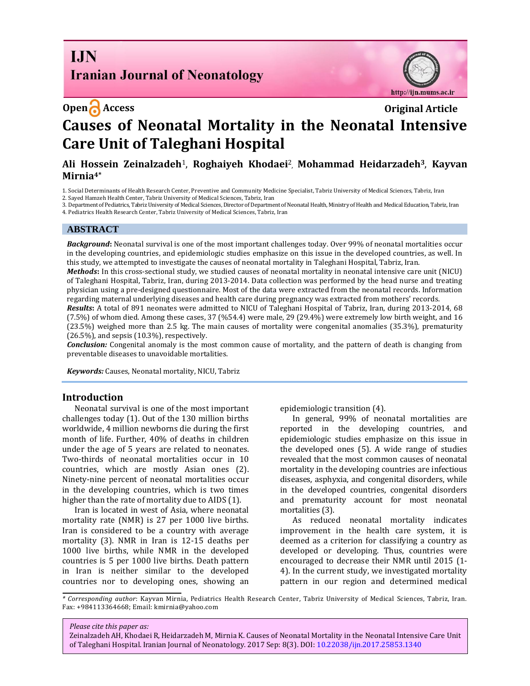**I.IN Iranian Journal of Neonatology** 

http://ijn.mums.ac.ir

# **Open Access Original Article Causes of Neonatal Mortality in the Neonatal Intensive Care Unit of Taleghani Hospital**

# **Ali Hossein Zeinalzadeh**1, **Roghaiyeh Khodaei**<sup>2</sup> , **Mohammad Heidarzadeh3**, **Kayvan Mirnia4\***

1. Social Determinants of Health Research Center, Preventive and Community Medicine Specialist, Tabriz University of Medical Sciences, Tabriz, Iran

2. Sayed Hamzeh Health Center, Tabriz University of Medical Sciences, Tabriz, Iran

3. Department of Pediatrics, Tabriz University of Medical Sciences, Director of Department of Neonatal Health, Ministry of Health and Medical Education, Tabriz, Iran 4. Pediatrics Health Research Center, Tabriz University of Medical Sciences, Tabriz, Iran

#### **ABSTRACT**

*Background***:** Neonatal survival is one of the most important challenges today. Over 99% of neonatal mortalities occur in the developing countries, and epidemiologic studies emphasize on this issue in the developed countries, as well. In this study, we attempted to investigate the causes of neonatal mortality in Taleghani Hospital, Tabriz, Iran.

*Methods***:** In this cross-sectional study, we studied causes of neonatal mortality in neonatal intensive care unit (NICU) of Taleghani Hospital, Tabriz, Iran, during 2013-2014. Data collection was performed by the head nurse and treating physician using a pre-designed questionnaire. Most of the data were extracted from the neonatal records. Information regarding maternal underlying diseases and health care during pregnancy was extracted from mothers' records.

*Results***:** A total of 891 neonates were admitted to NICU of Taleghani Hospital of Tabriz, Iran, during 2013-2014, 68 (7.5%) of whom died. Among these cases, 37 (%54.4) were male, 29 (29.4%) were extremely low birth weight, and 16 (23.5%) weighed more than 2.5 kg. The main causes of mortality were congenital anomalies (35.3%), prematurity  $(26.5\%)$ , and sepsis  $(10.3\%)$ , respectively.

*Conclusion:* Congenital anomaly is the most common cause of mortality, and the pattern of death is changing from preventable diseases to unavoidable mortalities.

*Keywords:* Causes, Neonatal mortality, NICU, Tabriz

#### **Introduction**

Neonatal survival is one of the most important challenges today (1). Out of the 130 million births worldwide, 4 million newborns die during the first month of life. Further, 40% of deaths in children under the age of 5 years are related to neonates. Two-thirds of neonatal mortalities occur in 10 countries, which are mostly Asian ones (2). Ninety-nine percent of neonatal mortalities occur in the developing countries, which is two times higher than the rate of mortality due to AIDS (1).

Iran is located in west of Asia, where neonatal mortality rate (NMR) is 27 per 1000 live births. Iran is considered to be a country with average mortality (3). NMR in Iran is 12-15 deaths per 1000 live births, while NMR in the developed countries is 5 per 1000 live births. Death pattern in Iran is neither similar to the developed countries nor to developing ones, showing an

epidemiologic transition (4).

In general, 99% of neonatal mortalities are reported in the developing countries, and epidemiologic studies emphasize on this issue in the developed ones (5). A wide range of studies revealed that the most common causes of neonatal mortality in the developing countries are infectious diseases, asphyxia, and congenital disorders, while in the developed countries, congenital disorders and prematurity account for most neonatal mortalities (3).

As reduced neonatal mortality indicates improvement in the health care system, it is deemed as a criterion for classifying a country as developed or developing. Thus, countries were encouraged to decrease their NMR until 2015 (1- 4). In the current study, we investigated mortality pattern in our region and determined medical

*\* Corresponding author*: Kayvan Mirnia, Pediatrics Health Research Center, Tabriz University of Medical Sciences, Tabriz, Iran. Fax: +984113364668; Email: kmirnia@yahoo.com

*Please cite this paper as:*

Zeinalzadeh AH, Khodaei R,Heidarzadeh M, Mirnia K. Causes of Neonatal Mortality in the Neonatal Intensive Care Unit of Taleghani Hospital. Iranian Journal of Neonatology. 2017 Sep: 8(3). DOI: [10.22038/ijn.2017.25853.1340](http://ijn.mums.ac.ir/article_9353.html)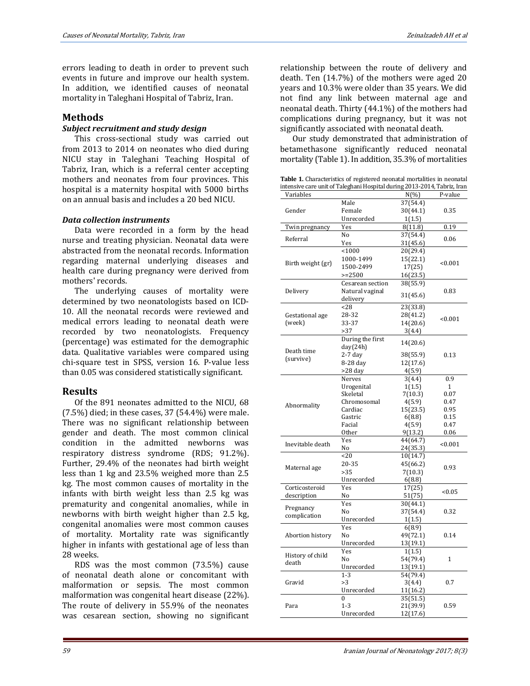errors leading to death in order to prevent such events in future and improve our health system. In addition, we identified causes of neonatal mortality in Taleghani Hospital of Tabriz, Iran.

### **Methods**

#### *Subject recruitment and study design*

This cross-sectional study was carried out from 2013 to 2014 on neonates who died during NICU stay in Taleghani Teaching Hospital of Tabriz, Iran, which is a referral center accepting mothers and neonates from four provinces. This hospital is a maternity hospital with 5000 births on an annual basis and includes a 20 bed NICU.

#### *Data collection instruments*

Data were recorded in a form by the head nurse and treating physician. Neonatal data were abstracted from the neonatal records. Information regarding maternal underlying diseases and health care during pregnancy were derived from mothers' records.

The underlying causes of mortality were determined by two neonatologists based on ICD-10. All the neonatal records were reviewed and medical errors leading to neonatal death were recorded by two neonatologists. Frequency (percentage) was estimated for the demographic data. Qualitative variables were compared using chi-square test in SPSS, version 16. P-value less than 0.05 was considered statistically significant.

# **Results**

Of the 891 neonates admitted to the NICU, 68 (7.5%) died; in these cases, 37 (54.4%) were male. There was no significant relationship between gender and death. The most common clinical condition in the admitted newborns was respiratory distress syndrome (RDS; 91.2%). Further, 29.4% of the neonates had birth weight less than 1 kg and 23.5% weighed more than 2.5 kg. The most common causes of mortality in the infants with birth weight less than 2.5 kg was prematurity and congenital anomalies, while in newborns with birth weight higher than 2.5 kg, congenital anomalies were most common causes of mortality. Mortality rate was significantly higher in infants with gestational age of less than 28 weeks.

RDS was the most common (73.5%) cause of neonatal death alone or concomitant with malformation or sepsis. The most common malformation was congenital heart disease (22%). The route of delivery in 55.9% of the neonates was cesarean section, showing no significant relationship between the route of delivery and death. Ten (14.7%) of the mothers were aged 20 years and 10.3% were older than 35 years. We did not find any link between maternal age and neonatal death. Thirty (44.1%) of the mothers had complications during pregnancy, but it was not significantly associated with neonatal death.

Our study demonstrated that administration of betamethasone significantly reduced neonatal mortality (Table 1). In addition, 35.3% of mortalities

**Table 1.** Characteristics of registered neonatal mortalities in neonatal intensive care unit of Taleghani Hospital during 2013-2014, Tabriz, Iran

| Variables                 |                              | $N(\% )$             | P-value      |
|---------------------------|------------------------------|----------------------|--------------|
| Gender                    | Male                         | 37(54.4)             |              |
|                           | Female                       | 30(44.1)             | 0.35         |
|                           | Unrecorded                   | 1(1.5)               |              |
| Twin pregnancy            | Yes                          | 8(11.8)              | 0.19         |
| Referral                  | No                           | 37(54.4)             |              |
|                           | Yes                          | 31(45.6)             | 0.06         |
| Birth weight (gr)         | < 1000                       | 20(29.4)             |              |
|                           | 1000-1499                    | 15(22.1)             |              |
|                           | 1500-2499                    | 17(25)               | < 0.001      |
|                           | $>=2500$                     | 16(23.5)             |              |
| Delivery                  | Cesarean section             | 38(55.9)             |              |
|                           | Natural vaginal              |                      | 0.83         |
|                           | delivery                     | 31(45.6)             |              |
| Gestational age<br>(week) | < 28                         | 23(33.8)             |              |
|                           | 28-32                        | 28(41.2)             |              |
|                           | 33-37                        | 14(20.6)             | < 0.001      |
|                           | >37                          |                      |              |
|                           |                              | 3(4.4)               |              |
| Death time<br>(survive)   | During the first<br>day(24h) | 14(20.6)             |              |
|                           | $2-7$ day                    | 38(55.9)             | 0.13         |
|                           | 8-28 day                     | 12(17.6)             |              |
|                           | $>28$ day                    | 4(5.9)               |              |
|                           | Nerves                       | 3(4.4)               | 0.9          |
|                           | Urogenital                   | 1(1.5)               | 1            |
| Abnormality               | Skeletal                     | 7(10.3)              | 0.07         |
|                           | Chromosomal                  | 4(5.9)               | 0.47         |
|                           | Cardiac                      | 15(23.5)             | 0.95         |
|                           | Gastric                      | 6(8.8)               | 0.15         |
|                           | Facial                       | 4(5.9)               | 0.47         |
|                           | Other                        | 9(13.2)              | 0.06         |
| Inevitable death          | Yes                          | 44(64.7)             |              |
|                           | No                           | 24(35.3)             | < 0.001      |
| Maternal age              | 20                           | 10(14.7)             |              |
|                           | 20-35                        | 45(66.2)             |              |
|                           | >35                          | 7(10.3)              | 0.93         |
|                           | Unrecorded                   | 6(8.8)               |              |
| Corticosteroid            | Yes                          | 17(25)               |              |
| description               | No                           | 51(75)               | < 0.05       |
| Pregnancy<br>complication | Yes                          | 30(44.1)             |              |
|                           | No                           | 37(54.4)             | 0.32         |
|                           | Unrecorded                   | 1(1.5)               |              |
| Abortion history          | Yes                          | 6(8.9)               |              |
|                           | No                           | 49(72.1)             | 0.14         |
|                           | Unrecorded                   | 13(19.1)             |              |
| History of child<br>death | Yes                          | 1(1.5)               |              |
|                           | No                           | 54(79.4)             | $\mathbf{1}$ |
|                           | Unrecorded                   | 13(19.1)             |              |
| Gravid                    | $1 - 3$                      | 54(79.4)             |              |
|                           | >3                           | 3(4.4)               |              |
|                           | Unrecorded                   | 11(16.2)             | 0.7          |
| Para                      | $\bf{0}$                     |                      |              |
|                           | $1-3$                        | 35(51.5)<br>21(39.9) | 0.59         |
|                           |                              |                      |              |
|                           | Unrecorded                   | 12(17.6)             |              |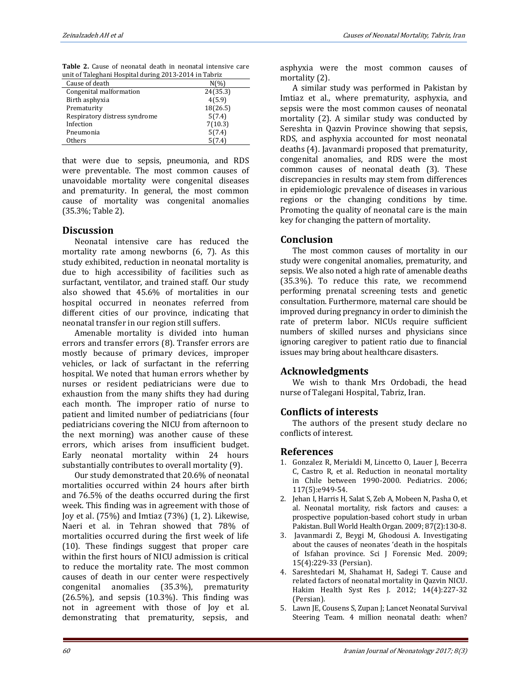**Table 2.** Cause of neonatal death in neonatal intensive care unit of Taleghani Hospital during 2013-2014 in Tabriz

| Cause of death                | $N\frac{6}{6}$ |
|-------------------------------|----------------|
| Congenital malformation       | 24(35.3)       |
| Birth asphyxia                | 4(5.9)         |
| Prematurity                   | 18(26.5)       |
| Respiratory distress syndrome | 5(7.4)         |
| Infection                     | 7(10.3)        |
| Pneumonia                     | 5(7.4)         |
| Others                        | (7.4           |

that were due to sepsis, pneumonia, and RDS were preventable. The most common causes of unavoidable mortality were congenital diseases and prematurity. In general, the most common cause of mortality was congenital anomalies (35.3%; Table 2).

# **Discussion**

Neonatal intensive care has reduced the mortality rate among newborns (6, 7). As this study exhibited, reduction in neonatal mortality is due to high accessibility of facilities such as surfactant, ventilator, and trained staff. Our study also showed that 45.6% of mortalities in our hospital occurred in neonates referred from different cities of our province, indicating that neonatal transfer in our region still suffers.

Amenable mortality is divided into human errors and transfer errors (8). Transfer errors are mostly because of primary devices, improper vehicles, or lack of surfactant in the referring hospital. We noted that human errors whether by nurses or resident pediatricians were due to exhaustion from the many shifts they had during each month. The improper ratio of nurse to patient and limited number of pediatricians (four pediatricians covering the NICU from afternoon to the next morning) was another cause of these errors, which arises from insufficient budget. Early neonatal mortality within 24 hours substantially contributes to overall mortality (9).

Our study demonstrated that 20.6% of neonatal mortalities occurred within 24 hours after birth and 76.5% of the deaths occurred during the first week. This finding was in agreement with those of Joy et al. (75%) and Imtiaz (73%) (1, 2). Likewise, Naeri et al. in Tehran showed that 78% of mortalities occurred during the first week of life (10). These findings suggest that proper care within the first hours of NICU admission is critical to reduce the mortality rate. The most common causes of death in our center were respectively congenital anomalies (35.3%), prematurity  $(26.5\%)$ , and sepsis  $(10.3\%)$ . This finding was not in agreement with those of Joy et al. demonstrating that prematurity, sepsis, and

asphyxia were the most common causes of mortality (2).

A similar study was performed in Pakistan by Imtiaz et al., where prematurity, asphyxia, and sepsis were the most common causes of neonatal mortality (2). A similar study was conducted by Sereshta in Qazvin Province showing that sepsis, RDS, and asphyxia accounted for most neonatal deaths (4). Javanmardi proposed that prematurity, congenital anomalies, and RDS were the most common causes of neonatal death (3). These discrepancies in results may stem from differences in epidemiologic prevalence of diseases in various regions or the changing conditions by time. Promoting the quality of neonatal care is the main key for changing the pattern of mortality.

# **Conclusion**

The most common causes of mortality in our study were congenital anomalies, prematurity, and sepsis. We also noted a high rate of amenable deaths (35.3%). To reduce this rate, we recommend performing prenatal screening tests and genetic consultation. Furthermore, maternal care should be improved during pregnancy in order to diminish the rate of preterm labor. NICUs require sufficient numbers of skilled nurses and physicians since ignoring caregiver to patient ratio due to financial issues may bring about healthcare disasters.

# **Acknowledgments**

We wish to thank Mrs Ordobadi, the head nurse of Talegani Hospital, Tabriz, Iran.

# **Conflicts of interests**

The authors of the present study declare no conflicts of interest.

# **References**

- 1. Gonzalez R, Merialdi M, Lincetto O, Lauer J, Becerra C, Castro R, et al. Reduction in neonatal mortality in Chile between 1990-2000. Pediatrics. 2006; 117(5):e949-54.
- 2. [Jehan I,](https://www.ncbi.nlm.nih.gov/pubmed/?term=Jehan%20I%5BAuthor%5D&cauthor=true&cauthor_uid=19274365) [Harris H,](https://www.ncbi.nlm.nih.gov/pubmed/?term=Harris%20H%5BAuthor%5D&cauthor=true&cauthor_uid=19274365) [Salat S,](https://www.ncbi.nlm.nih.gov/pubmed/?term=Salat%20S%5BAuthor%5D&cauthor=true&cauthor_uid=19274365) [Zeb A,](https://www.ncbi.nlm.nih.gov/pubmed/?term=Zeb%20A%5BAuthor%5D&cauthor=true&cauthor_uid=19274365) [Mobeen N,](https://www.ncbi.nlm.nih.gov/pubmed/?term=Mobeen%20N%5BAuthor%5D&cauthor=true&cauthor_uid=19274365) [Pasha O,](https://www.ncbi.nlm.nih.gov/pubmed/?term=Pasha%20O%5BAuthor%5D&cauthor=true&cauthor_uid=19274365) et al. Neonatal mortality, risk factors and causes: a prospective population-based cohort study in urban Pakistan. Bull World Health Organ. 2009; 87(2):130-8.
- 3. Javanmardi Z, Beygi M, Ghodousi A. Investigating about the causes of neonates 'death in the hospitals of Isfahan province. Sci J Forensic Med. 2009; 15(4):229-33 (Persian).
- 4. Sareshtedari M, Shahamat H, Sadegi T. Cause and related factors of neonatal mortality in Qazvin NICU. Hakim Health Syst Res J. 2012; 14(4):227-32 (Persian).
- 5. [Lawn JE,](https://www.ncbi.nlm.nih.gov/pubmed/?term=Lawn%20JE%5BAuthor%5D&cauthor=true&cauthor_uid=15752534) [Cousens S,](https://www.ncbi.nlm.nih.gov/pubmed/?term=Cousens%20S%5BAuthor%5D&cauthor=true&cauthor_uid=15752534) [Zupan J;](https://www.ncbi.nlm.nih.gov/pubmed/?term=Zupan%20J%5BAuthor%5D&cauthor=true&cauthor_uid=15752534) [Lancet Neonatal Survival](https://www.ncbi.nlm.nih.gov/pubmed/?term=Lancet%20Neonatal%20Survival%20Steering%20Team%5BCorporate%20Author%5D)  [Steering Team.](https://www.ncbi.nlm.nih.gov/pubmed/?term=Lancet%20Neonatal%20Survival%20Steering%20Team%5BCorporate%20Author%5D) 4 million neonatal death: when?